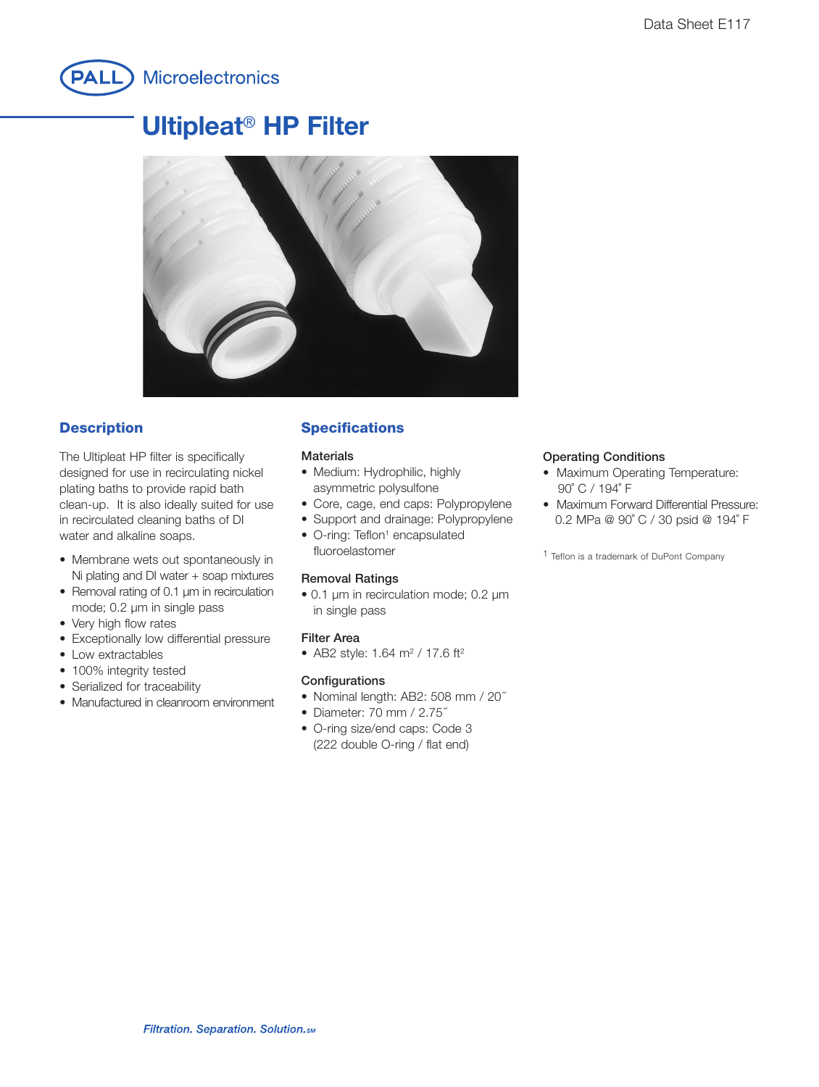

# **Ultipleat**® **HP Filter**



## **Description**

The Ultipleat HP filter is specifically designed for use in recirculating nickel plating baths to provide rapid bath clean-up. It is also ideally suited for use in recirculated cleaning baths of DI water and alkaline soaps.

- Membrane wets out spontaneously in Ni plating and DI water + soap mixtures
- Removal rating of 0.1 µm in recirculation mode; 0.2 µm in single pass
- Very high flow rates
- Exceptionally low differential pressure
- Low extractables
- 100% integrity tested
- Serialized for traceability
- Manufactured in cleanroom environment

## **Specifications**

#### **Materials**

- Medium: Hydrophilic, highly asymmetric polysulfone
- Core, cage, end caps: Polypropylene
- Support and drainage: Polypropylene
- O-ring: Teflon<sup>1</sup> encapsulated fluoroelastomer

#### **Removal Ratings**

• 0.1 µm in recirculation mode; 0.2 µm in single pass

#### **Filter Area**

• AB2 style: 1.64 m<sup>2</sup> / 17.6 ft<sup>2</sup>

#### **Configurations**

- Nominal length: AB2: 508 mm / 20˝
- Diameter: 70 mm / 2.75˝
- O-ring size/end caps: Code 3 (222 double O-ring / flat end)

#### **Operating Conditions**

- Maximum Operating Temperature: 90˚ C / 194˚ F
- Maximum Forward Differential Pressure: 0.2 MPa @ 90˚ C / 30 psid @ 194˚ F

1 Teflon is a trademark of DuPont Company